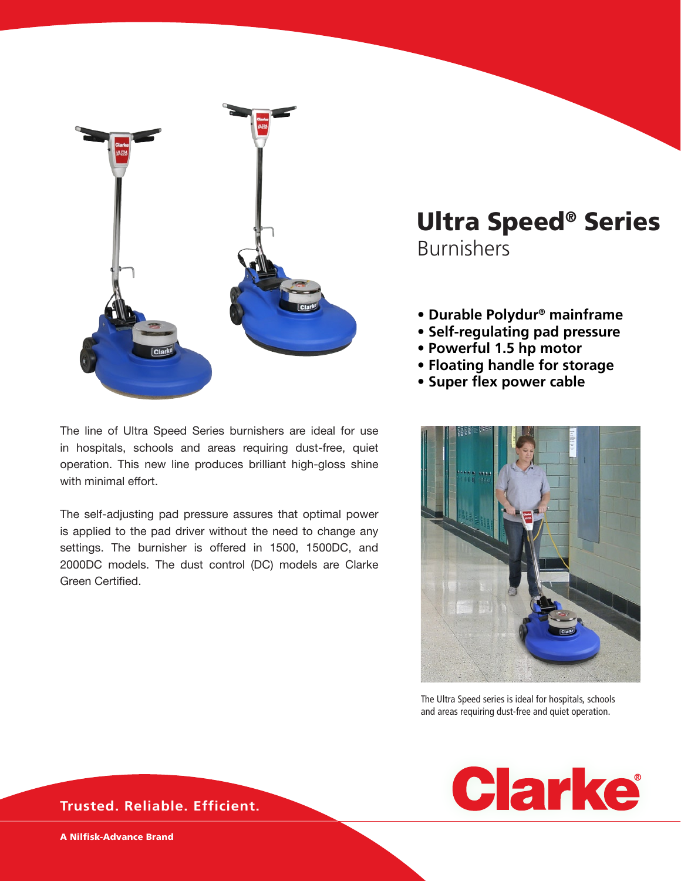

The line of Ultra Speed Series burnishers are ideal for use in hospitals, schools and areas requiring dust-free, quiet operation. This new line produces brilliant high-gloss shine with minimal effort.

The self-adjusting pad pressure assures that optimal power is applied to the pad driver without the need to change any settings. The burnisher is offered in 1500, 1500DC, and 2000DC models. The dust control (DC) models are Clarke Green Certified.

# Ultra Speed® Series Burnishers

- **Durable Polydur® mainframe**
- **Self-regulating pad pressure**
- **Powerful 1.5 hp motor**
- **Floating handle for storage**
- **Super flex power cable**



The Ultra Speed series is ideal for hospitals, schools and areas requiring dust-free and quiet operation.



**Trusted. Reliable. Efficient.**

A Nilfisk-Advance Brand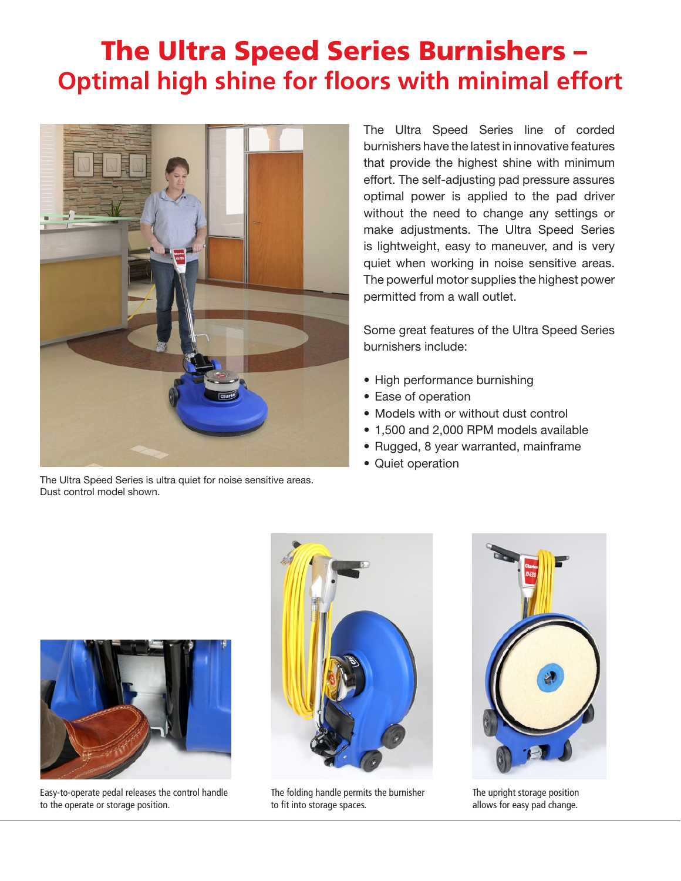# The Ultra Speed Series Burnishers – **Optimal high shine for floors with minimal effort**



The Ultra Speed Series is ultra quiet for noise sensitive areas. Dust control model shown.

The Ultra Speed Series line of corded burnishers have the latest in innovative features that provide the highest shine with minimum effort. The self-adjusting pad pressure assures optimal power is applied to the pad driver without the need to change any settings or make adjustments. The Ultra Speed Series is lightweight, easy to maneuver, and is very quiet when working in noise sensitive areas. The powerful motor supplies the highest power permitted from a wall outlet.

Some great features of the Ultra Speed Series burnishers include:

- High performance burnishing
- Ease of operation
- Models with or without dust control
- 1,500 and 2,000 RPM models available
- Rugged, 8 year warranted, mainframe
- Quiet operation



Easy-to-operate pedal releases the control handle to the operate or storage position.



The folding handle permits the burnisher to fit into storage spaces.



The upright storage position allows for easy pad change.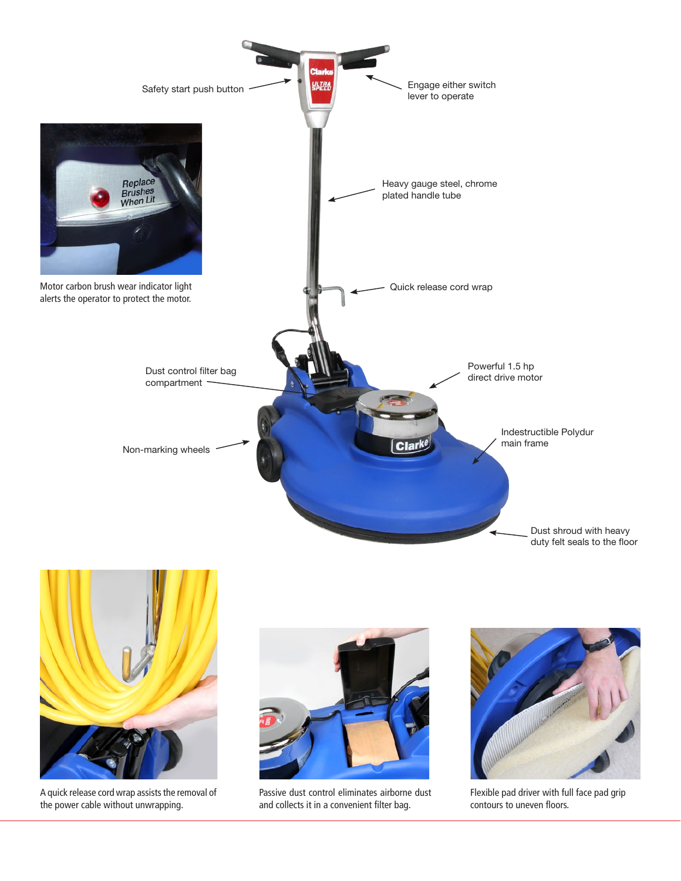



A quick release cord wrap assists the removal of the power cable without unwrapping.



Passive dust control eliminates airborne dust and collects it in a convenient filter bag.



Flexible pad driver with full face pad grip contours to uneven floors.